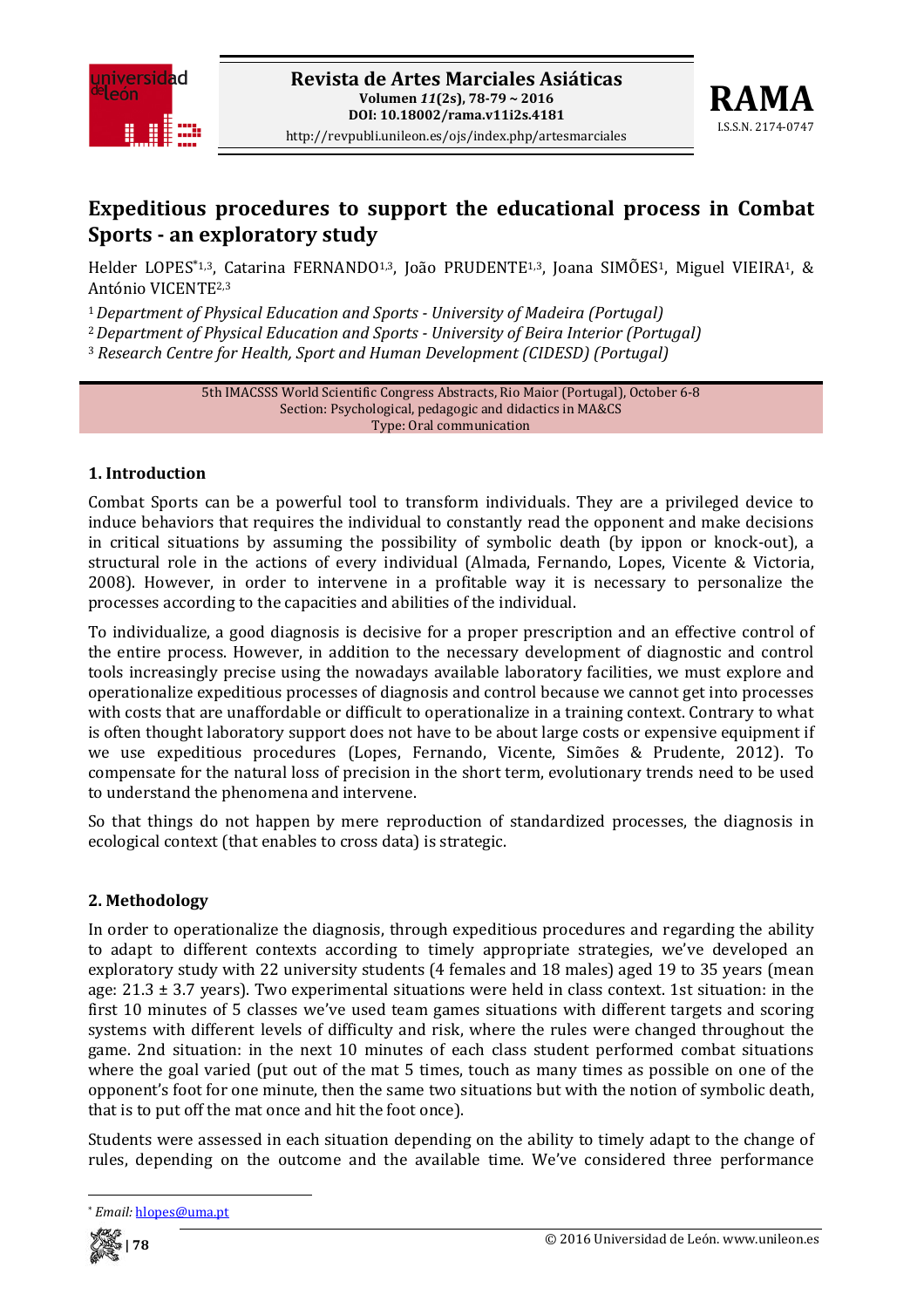



# **Expeditious procedures to support the educational process in Combat Sports an exploratory study**

Helder LOPES<sup>\*1,3</sup>, Catarina FERNANDO<sup>1,3</sup>, João PRUDENTE<sup>1,3</sup>, Joana SIMÕES<sup>1</sup>, Miguel VIEIRA<sup>1</sup>, & António VICENTE2,3

<sup>1</sup>*Department of Physical Education and Sports University of Madeira (Portugal)*

<sup>2</sup>*Department of Physical Education and Sports University of Beira Interior (Portugal)*

<sup>3</sup> *Research Centre for Health, Sport and Human Development (CIDESD) (Portugal)*

5th IMACSSS World Scientific Congress Abstracts, Rio Maior (Portugal), October 6‐8 Section: Psychological, pedagogic and didactics in MA&CS Type: Oral communication

# **1. Introduction**

Combat Sports can be a powerful tool to transform individuals. They are a privileged device to induce behaviors that requires the individual to constantly read the opponent and make decisions in critical situations by assuming the possibility of symbolic death (by ippon or knock-out), a structural role in the actions of every individual (Almada, Fernando, Lopes, Vicente & Victoria, 2008). However, in order to intervene in a profitable way it is necessary to personalize the processes according to the capacities and abilities of the individual.

To individualize, a good diagnosis is decisive for a proper prescription and an effective control of the entire process. However, in addition to the necessary development of diagnostic and control tools increasingly precise using the nowadays available laboratory facilities, we must explore and operationalize expeditious processes of diagnosis and control because we cannot get into processes with costs that are unaffordable or difficult to operationalize in a training context. Contrary to what is often thought laboratory support does not have to be about large costs or expensive equipment if we use expeditious procedures (Lopes, Fernando, Vicente, Simões & Prudente, 2012). To compensate for the natural loss of precision in the short term, evolutionary trends need to be used to understand the phenomena and intervene.

So that things do not happen by mere reproduction of standardized processes, the diagnosis in ecological context (that enables to cross data) is strategic.

# **2. Methodology**

In order to operationalize the diagnosis, through expeditious procedures and regarding the ability to adapt to different contexts according to timely appropriate strategies, we've developed an exploratory study with 22 university students (4 females and 18 males) aged 19 to 35 years (mean age:  $21.3 \pm 3.7$  years). Two experimental situations were held in class context. 1st situation: in the first 10 minutes of 5 classes we've used team games situations with different targets and scoring systems with different levels of difficulty and risk, where the rules were changed throughout the game. 2nd situation: in the next 10 minutes of each class student performed combat situations where the goal varied (put out of the mat 5 times, touch as many times as possible on one of the opponent's foot for one minute, then the same two situations but with the notion of symbolic death, that is to put off the mat once and hit the foot once).

Students were assessed in each situation depending on the ability to timely adapt to the change of rules, depending on the outcome and the available time. We've considered three performance



<sup>\*</sup> *Email:* hlopes@uma.pt